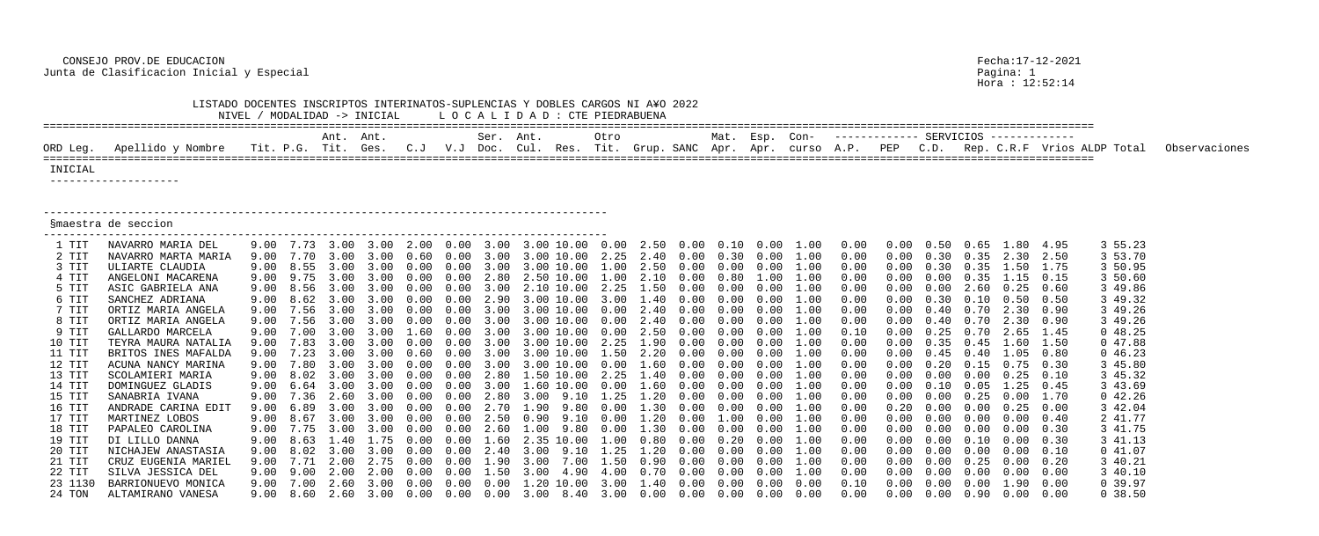CONSEJO PROV.DE EDUCACION Fecha:17-12-2021 Junta de Clasificacion Inicial y Especial Pagina: 1

|          | LISTADO DOCENTES INSCRIPTOS INTERINATOS-SUPLENCIAS Y DOBLES CARGOS NI A¥O 2022 |      |                |           | NIVEL / MODALIDAD -> INICIAL                                                                             |      |                    | LOCALIDAD: CTE PIEDRABUENA |      |            |                           |      |            |      |      |                                                                               |      |                                     |      |                   |                                    |          |                             |               |
|----------|--------------------------------------------------------------------------------|------|----------------|-----------|----------------------------------------------------------------------------------------------------------|------|--------------------|----------------------------|------|------------|---------------------------|------|------------|------|------|-------------------------------------------------------------------------------|------|-------------------------------------|------|-------------------|------------------------------------|----------|-----------------------------|---------------|
|          |                                                                                |      |                | Ant. Ant. |                                                                                                          |      |                    | Ser. Ant.                  |      |            | Otro                      |      |            | Mat. | Esp. | Con-                                                                          |      | ------------ SERVICIOS ------------ |      |                   |                                    |          |                             |               |
| ORD Leg. | Apellido y Nombre                                                              |      | Tit. P.G. Tit. |           | Ges.                                                                                                     | C. J | $V\boldsymbol{.}J$ | Doc.                       |      |            | Cul. Res. Tit. Grup. SANC |      |            | Apr. | Apr. | curso                                                                         | A.P. | PEP                                 | C.D. |                   |                                    |          | Rep. C.R.F Vrios ALDP Total | Observaciones |
| INICIAL  | ---------------------                                                          |      |                |           |                                                                                                          |      |                    |                            |      |            |                           |      |            |      |      |                                                                               |      |                                     |      |                   |                                    |          |                             |               |
|          |                                                                                |      |                |           |                                                                                                          |      |                    |                            |      |            |                           |      |            |      |      |                                                                               |      |                                     |      |                   |                                    |          |                             |               |
|          | Smaestra de seccion                                                            |      |                |           |                                                                                                          |      |                    |                            |      |            |                           |      |            |      |      |                                                                               |      |                                     |      |                   |                                    |          |                             |               |
| 1 TIT    | NAVARRO MARIA DEL                                                              | 9.00 | 7.73           |           | 3.00                                                                                                     | 2.00 | 0.00               | 3.00                       |      | 3.00 10.00 |                           | 2.50 | $0\,.\,00$ | 0.10 | 0.00 | 1.00                                                                          | 0.00 |                                     |      |                   | 1.80                               | 4.95     | 3 55.23                     |               |
| 2 TIT    | NAVARRO MARTA MARIA                                                            | 9.00 |                |           |                                                                                                          |      |                    |                            |      | 3.00 10.00 | 2.25                      | 2.40 | 0.00       | 0.30 | 0.00 | 1.00                                                                          | 0.00 |                                     | 0.30 | 0.35              | 2.30                               | 2.50     | 3 53.70                     |               |
| 3 TIT    | ULIARTE CLAUDIA                                                                | 9.00 | 8.55           | 3.00      |                                                                                                          |      |                    |                            |      | 3.00 10.00 | 1.00                      | 2.50 | 0.00       | 0.00 |      | 1.00                                                                          | 0.00 |                                     |      | 0.35              | 1.50                               | 1.75     | 3 50.95                     |               |
| 4 TIT    | ANGELONI MACARENA                                                              | 9.00 |                |           |                                                                                                          |      |                    | -2.80                      |      | 10.00      | .00                       |      |            | 0.80 |      |                                                                               | 0.00 |                                     |      |                   | .15                                | 0.15     | 3 50.60                     |               |
| 5 TIT    | ASIC GABRIELA ANA                                                              | 9.00 | 8.56           |           |                                                                                                          |      |                    |                            |      | 10.00      | 2.25                      | 1.50 |            |      |      | 1.00                                                                          | 0.00 |                                     |      | 2.60              | 0.25                               | 0.60     | 3 49.86                     |               |
| 6 TIT    | SANCHEZ ADRIANA                                                                | 9.00 |                |           |                                                                                                          |      |                    |                            |      | 3.00 10.00 | 3.00                      |      |            |      |      | 1.00                                                                          | 0.00 |                                     |      | 0.10              | 0.50                               | 0.50     | 3 49.32                     |               |
| 7 TIT    | ORTIZ MARIA ANGELA                                                             | 9.00 |                |           |                                                                                                          |      |                    |                            |      | 10.00      | n nn                      |      |            |      |      |                                                                               | 0.00 |                                     |      |                   | 2.30                               | 0.90     | 3 49.26                     |               |
| 8 TIT    | ORTIZ MARIA ANGELA                                                             | 9.00 |                |           |                                                                                                          |      |                    |                            |      | 10.00      | 0.00                      |      |            |      |      | 1.00                                                                          | 0.00 |                                     |      |                   | 2.30                               | 0.90     | 3 49.26                     |               |
| 9 TIT    | GALLARDO MARCELA                                                               | 9.00 |                | 3.00      |                                                                                                          |      |                    |                            |      | 3.00 10.00 | 0.00                      | 2.50 | 0.00       | 0.00 | 0.00 | 1.00                                                                          | 0.10 |                                     |      | 0.70              | 2.65                               | 1.45     | 048.25                      |               |
| 10 TIT   | TEYRA MAURA NATALIA                                                            | 9.00 |                |           |                                                                                                          |      |                    |                            |      | 10.00      | 2.25                      | 1.90 |            |      |      | 1.00                                                                          | 0.00 |                                     | . 35 |                   | 1.60                               | $1.50\,$ | 047.88                      |               |
| 11 TIT   | BRITOS INES MAFALDA                                                            | 9.00 |                |           |                                                                                                          |      |                    |                            |      |            | 50                        |      |            |      |      | 1.00                                                                          | 0.00 |                                     |      |                   | 1.05                               | 0.80     | 046.23                      |               |
| 12 TIT   | ACUNA NANCY MARINA                                                             | 9.00 |                |           |                                                                                                          |      |                    |                            |      | 3.00 10.00 | 0.00                      |      |            |      | 0.00 |                                                                               | 0.00 |                                     |      | 0.15              | 0.75                               | 0.30     | 3 45.80                     |               |
| 13 TIT   | SCOLAMIERI MARIA                                                               | 9.00 | 8.02           |           |                                                                                                          |      |                    |                            |      | (1)        | 2.25                      | .40  | $.00 \,$   | 0.00 |      | 1.00                                                                          | 0.00 |                                     | 0.00 |                   | 0.25                               | 0.10     | 3 45.32                     |               |
| 14 TIT   | DOMINGUEZ GLADIS                                                               | 9.00 |                |           |                                                                                                          |      |                    |                            |      |            |                           |      |            |      |      | 1.00                                                                          | 0.00 |                                     |      |                   | . 25                               | 0.45     | 3 43.69                     |               |
| 15 TIT   | SANABRIA IVANA                                                                 | 9.00 | 7.36           | 2.60      | 3.00                                                                                                     |      | 0.00               |                            | 3.00 | 9.10       | 1.25                      |      | 0.00       | 0.00 | 0.00 |                                                                               | 0.00 |                                     | 0.00 | 0.25              | $0\,.\,00$                         | 1.70     | 042.26                      |               |
| 16 TIT   | ANDRADE CARINA EDIT                                                            |      |                |           | 9.00 6.89 3.00 3.00 0.00 0.00 2.70 1.90 9.80 0.00 1.30 0.00 0.00 0.00 1.00                               |      |                    |                            |      |            |                           |      |            |      |      |                                                                               | 0.00 | 0.20                                |      | $0.00 \quad 0.00$ | 0.25                               | 0.00     | 3 42.04                     |               |
| 17 TIT   | MARTINEZ LOBOS                                                                 |      |                |           | 9.00 8.67 3.00 3.00 0.00 0.00 2.50 0.90 9.10 0.00 1.20 0.00 1.00 0.00 1.00                               |      |                    |                            |      |            |                           |      |            |      |      |                                                                               | 0.00 | $0\,.\,00$                          |      |                   | $0.00 \quad 0.00 \quad 0.00$       | 0.40     | 2 41.77                     |               |
| 18 TIT   | PAPALEO CAROLINA                                                               |      |                |           |                                                                                                          |      |                    |                            |      |            |                           |      |            |      |      | 9.00 7.75 3.00 3.00 0.00 0.00 2.60 1.00 9.80 0.00 1.30 0.00 0.00 0.00 1.00    | 0.00 | 0.00                                |      |                   | $0.00 \t 0.00 \t 0.00 \t 0.30$     |          | 3 41.75                     |               |
| 19 TIT   | DI LILLO DANNA                                                                 |      |                |           | 9.00 8.63 1.40 1.75 0.00 0.00 1.60 2.35 10.00 1.00 0.80 0.00 0.20 0.00 1.00                              |      |                    |                            |      |            |                           |      |            |      |      |                                                                               | 0.00 | 0.00                                |      |                   | $0.00$ $0.10$ $0.00$ $0.30$        |          | 3 41.13                     |               |
| 20 TIT   | NICHAJEW ANASTASIA                                                             |      |                |           | 9.00 8.02 3.00 3.00 0.00 0.00 2.40 3.00 9.10 1.25 1.20 0.00 0.00 0.00 1.00                               |      |                    |                            |      |            |                           |      |            |      |      |                                                                               | 0.00 | 0.00                                |      |                   | $0.00 \t 0.00 \t 0.00 \t 0.10$     |          | 041.07                      |               |
| 21 TIT   | CRUZ EUGENIA MARIEL                                                            |      |                |           | 9.00 7.71 2.00 2.75 0.00 0.00 1.90 3.00 7.00 1.50 0.90 0.00 0.00 0.00 1.00                               |      |                    |                            |      |            |                           |      |            |      |      |                                                                               | 0.00 | 0.00                                |      |                   | $0.00 \t 0.25 \t 0.00 \t 0.20$     |          | 3 40.21                     |               |
| 22 TIT   | SILVA JESSICA DEL                                                              |      |                |           | $9.00$ $9.00$ $2.00$ $2.00$ $0.00$ $0.00$ $1.50$ $3.00$ $4.90$ $4.00$ $0.70$ $0.00$ $0.00$ $0.00$ $1.00$ |      |                    |                            |      |            |                           |      |            |      |      |                                                                               | 0.00 | $0\,.\,00$                          |      |                   | $0.00 \t 0.00 \t 0.00 \t 0.00$     |          | 3 40.10                     |               |
| 23 1130  | BARRIONUEVO MONICA                                                             |      |                |           |                                                                                                          |      |                    |                            |      |            |                           |      |            |      |      | $9.00$ 7.00 2.60 3.00 0.00 0.00 0.00 1.20 10.00 3.00 1.40 0.00 0.00 0.00 0.00 | 0.10 | 0.00                                |      |                   | $0.00 \t 0.00 \t 1.90 \t 0.00$     |          | 0 39.97                     |               |
| 24 TON   | ALTAMIRANO VANESA                                                              |      |                |           |                                                                                                          |      |                    |                            |      |            |                           |      |            |      |      | 9.00 8.60 2.60 3.00 0.00 0.00 0.00 3.00 8.40 3.00 0.00 0.00 0.00 0.00 0.00    | 0.00 |                                     |      |                   | $0.00$ $0.00$ $0.90$ $0.00$ $0.00$ |          | 0, 38.50                    |               |

Pagina: 1<br>Bagina: 1<br>Hora : 12:52:14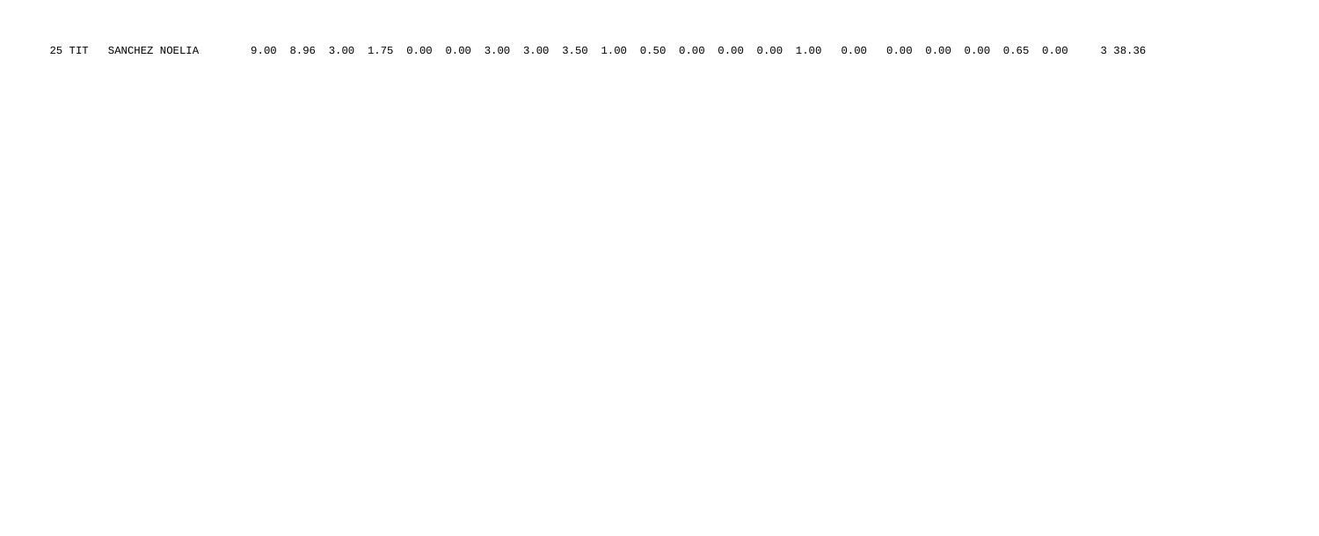25 TIT SANCHEZ NOELIA 9.00 8.96 3.00 1.75 0.00 0.00 3.00 3.00 3.50 1.00 0.50 0.00 0.00 0.00 1.00 0.00 0.00 0.00 0.00 0.65 0.00 3 38.36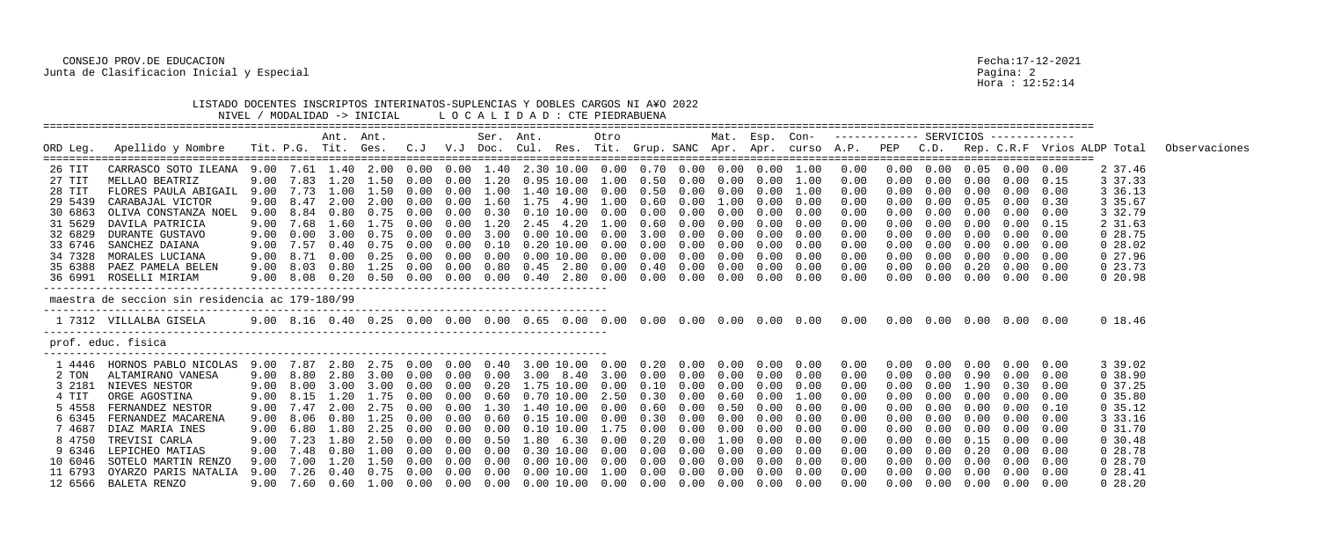CONSEJO PROV.DE EDUCACION Fecha:17-12-2021 Junta de Clasificacion Inicial y Especial Pagina: 2

|                  | LISTADO DOCENTES INSCRIPTOS INTERINATOS-SUPLENCIAS Y DOBLES CARGOS NI A¥O 2022                                     |      |           |             | NIVEL / MODALIDAD -> INICIAL                                                       |               |            |           | LOCALIDAD: CTE PIEDRABUENA                        |       |      |               |            |                      |                   |             |              |      |                                            |            |                              |      |                                                                                                                      |               |
|------------------|--------------------------------------------------------------------------------------------------------------------|------|-----------|-------------|------------------------------------------------------------------------------------|---------------|------------|-----------|---------------------------------------------------|-------|------|---------------|------------|----------------------|-------------------|-------------|--------------|------|--------------------------------------------|------------|------------------------------|------|----------------------------------------------------------------------------------------------------------------------|---------------|
| ORD Leg.         | Apellido y Nombre                                                                                                  |      |           | Ant. Ant.   |                                                                                    |               |            | Ser. Ant. |                                                   |       | Otro |               |            | Mat. Esp. Con-       |                   |             |              |      |                                            |            |                              |      | Tit. P.G. Tit. Ges. C.J V.J Doc. Cul. Res. Tit. Grup. SANC Apr. Apr. curso A.P. PEP C.D. Rep. C.R.F Vrios ALDP Total | Observaciones |
|                  |                                                                                                                    |      |           |             |                                                                                    |               |            |           |                                                   |       |      |               |            |                      |                   |             |              |      |                                            |            |                              |      |                                                                                                                      |               |
| 26 TIT<br>27 TIT | CARRASCO SOTO ILEANA 9.00 7.61 1.40 2.00 0.00 0.00 1.40 2.30 10.00 0.00 0.70 0.00 0.00 0.00 1.00<br>MELLAO BEATRIZ | 9.00 | 7.83      | 1.20        | 1.50 0.00                                                                          |               | 0.00       |           |                                                   |       | 1.00 | 0.50          | 0.00       | 0.00                 | 0.00              | $1\ldotp00$ | 0.00<br>0.00 |      | $0.00$ $0.00$ $0.05$ $0.00$ $0.00$<br>0.00 | 0.00       | 0.00                         | 0.15 | 2 37.46<br>3 37.33                                                                                                   |               |
| 28 TIT           | FLORES PAULA ABIGAIL                                                                                               |      | 9.00 7.73 | 1.00        | 1.50 0.00                                                                          |               | 0.00       |           | 1.00 1.40 10.00                                   |       | 0.00 | 0.50          | 0.00       |                      | $0.00 \quad 0.00$ | 1.00        | 0.00         | 0.00 | 0.00                                       | (1.00)     | 0.00                         | 0.00 | 3 36.13                                                                                                              |               |
| 29 5439          | CARABAJAL VICTOR                                                                                                   | 9.00 | 8.47      | 2.00        | 2.00                                                                               | (1.00)        | 0.00       | 1.60      | 1.75 4.90                                         |       | 1.00 | 0.60          | 0.00       | 1.00                 | 0.00              | 0.00        | 0.00         |      |                                            | 0.05       | 0.00                         | 0.30 | 3 35.67                                                                                                              |               |
| 30 6863          | OLIVA CONSTANZA NOEL                                                                                               | 9.00 | 8.84      | 0.80        | 0.75                                                                               | ( ) ( ) ( )   |            |           | 0.10                                              | 10.00 | 0.00 | 0.00          |            | 0.00                 | 0.00              | 0.00        | 0.00         |      |                                            | 0.00       | $0\,.\,00$                   | 0.00 | 3 32.79                                                                                                              |               |
| 31 5629          | DAVILA PATRICIA                                                                                                    | 9.00 | 7.68      | 1.60        | 7.75                                                                               |               | (1.00)     | 1.20      | 2.45                                              | 4.20  | 1.00 | 0.60          | (0.00)     | 0.00                 | 0.00              | 0.00        | 0.00         |      |                                            | 0.00       | 0.00                         | 0.15 | 2 31.63                                                                                                              |               |
| 32 6829          | DURANTE GUSTAVO                                                                                                    | 9.00 | 0.00      | 3.00        | 0.75                                                                               | $(1 \cdot 0)$ | 0.00       | 3.00      | 0.00 10.00                                        |       | 0.00 | 3.00          | 0.00       | 0.00                 | 0.00              | 0.00        | 0.00         |      |                                            | 0.00       | $0\,.\,00$                   | 0.00 | 028.75                                                                                                               |               |
| 33 6746          | SANCHEZ DAIANA                                                                                                     | 9.00 | 7.57      | 0.40        | 0.75                                                                               | (1.00)        | 0.00       | 0.10      |                                                   | 10.00 | 0.00 | 0.00          | 0.00       | 0.00                 | 0.00              | 0.00        | 0.00         |      |                                            | 0.00       | $0\,.\,00$                   | 0.00 | $0\ 28.02$                                                                                                           |               |
| 34 7328          | MORALES LUCIANA                                                                                                    | 9.00 | 8.71      | 0.00        | 0.25                                                                               | $(1 \t1)$     | (1.00)     | (1.00)    | 0.0010.00                                         |       | 0.00 | 0.00          | (0.00)     | 0.00                 | 0.00              | 0.00        | 0.00         |      |                                            | 0.00       | 0.00                         | 0.00 | 0 27.96                                                                                                              |               |
| 35 6388          | PAEZ PAMELA BELEN                                                                                                  | 9.00 | 8.03      | 0.80        | 1.25                                                                               | 0.00          | 0.00       |           | $0.80$ $0.45$ $2.80$                              |       |      | $0.00$ $0.40$ | 0.00       | $0\,.\,00$           | 0.00              | 0.00        | 0.00         |      | 0.00                                       | $0\,.20$   | 0.00                         | 0.00 | $0\,23.73$                                                                                                           |               |
|                  | 36 6991 ROSELLI MIRIAM                                                                                             | 9.00 |           |             | 8.08  0.20  0.50  0.00                                                             |               | 0.00       |           | $0.00 \quad 0.40 \quad 2.80 \quad 0.00$           |       |      | 0.00          | 0.00       | 0.00                 | 0.00              | 0.00        | 0.00         |      | 0.00                                       | 0.00       | 0.00                         | 0.00 | $0\,20.98$                                                                                                           |               |
|                  | maestra de seccion sin residencia ac 179-180/99                                                                    |      |           |             |                                                                                    |               |            |           |                                                   |       |      |               |            |                      |                   |             |              |      |                                            |            |                              |      |                                                                                                                      |               |
|                  | 1 7312 VILLALBA GISELA                                                                                             |      |           |             |                                                                                    |               |            |           |                                                   |       |      |               |            |                      |                   |             |              |      |                                            |            |                              |      | 0 18.46                                                                                                              |               |
|                  | prof. educ. fisica                                                                                                 |      |           |             |                                                                                    |               |            |           |                                                   |       |      |               |            |                      |                   |             |              |      |                                            |            |                              |      |                                                                                                                      |               |
| 1 4446           | HORNOS PABLO NICOLAS                                                                                               |      | 9.00 7.87 | 2.80        | 2.75 0.00                                                                          |               | 0.00       | 0.40      | 3.00 10.00                                        |       |      | $0\,.20$      |            | $0.00$ $0.00$ $0.00$ |                   | 0.00        | 0.00         |      |                                            | 0.00       | 0.00                         | 0.00 | 3 39.02                                                                                                              |               |
| 2 TON            | ALTAMIRANO VANESA                                                                                                  | 9.00 | 8.80      | 2.80        | 3.00                                                                               | 0.00          | 0.00       | 0.00      | 3.00                                              | 8.40  | 3.00 | 0.00          | 0.00       |                      | $0.00 \quad 0.00$ | 0.00        | 0.00         |      |                                            | 0.90       | 0.00                         | 0.00 | 0.38.90                                                                                                              |               |
| 3 2181           | NIEVES NESTOR                                                                                                      | 9.00 |           |             | 8.00 3.00 3.00                                                                     | 0.00          | 0.00       |           | 0.20 1.75 10.00                                   |       | 0.00 | 0.10          | 0.00       |                      | $0.00 \quad 0.00$ | 0.00        | 0.00         | 0.00 | 0.00                                       | 1.90       | 0.30                         | 0.00 | 0 37.25                                                                                                              |               |
| 4 TIT            | ORGE AGOSTINA                                                                                                      |      | 9.00 8.15 | $1\ldotp20$ | 1.75 0.00                                                                          |               | 0.00       |           | $0.60$ $0.70$ $10.00$                             |       |      | 2.50 0.30     | $0\,.\,00$ |                      | $0.60\quad 0.00$  | 1.00        | 0.00         |      | $0\,.\,00$                                 | $0\,.\,00$ | $0.00 \quad 0.00$            |      | 0, 35.80                                                                                                             |               |
|                  | 5 4558 FERNANDEZ NESTOR                                                                                            |      |           |             | 9.00 7.47 2.00 2.75 0.00 0.00 1.30 1.40 10.00 0.00 0.60 0.00 0.50 0.00             |               |            |           |                                                   |       |      |               |            |                      |                   | 0.00        | 0.00         | 0.00 |                                            |            | $0.00 \t 0.00 \t 0.00$       | 0.10 | 0, 35.12                                                                                                             |               |
| 6 6345           | FERNANDEZ MACARENA                                                                                                 |      |           |             | 9.00 8.06 0.80 1.25 0.00                                                           |               |            |           | $0.00$ $0.60$ $0.15$ $10.00$ $0.00$ $0.30$ $0.00$ |       |      |               |            |                      | $0.00\quad 0.00$  | 0.00        | 0.00         | 0.00 |                                            |            | $0.00 \t 0.00 \t 0.00$       | 0.00 | 3 33.16                                                                                                              |               |
| 7 4687           | DIAZ MARIA INES                                                                                                    |      |           |             | $9.00 \quad 6.80 \quad 1.80 \quad 2.25 \quad 0.00$                                 |               | $0\,.\,00$ |           | $0.00$ $0.10$ $10.00$ $1.75$ $0.00$ $0.00$        |       |      |               |            |                      | $0.00\quad 0.00$  | 0.00        | 0.00         | 0.00 |                                            |            | $0.00 \t 0.00 \t 0.00$       | 0.00 | 0, 31.70                                                                                                             |               |
|                  | 8 4750 TREVISI CARLA                                                                                               |      |           |             | 9.00 7.23 1.80 2.50 0.00 0.00 0.50 1.80 6.30 0.00 0.20 0.00                        |               |            |           |                                                   |       |      |               |            | $1.00\quad 0.00$     |                   | 0.00        | 0.00         | 0.00 |                                            |            | $0.00 \t 0.15 \t 0.00$       | 0.00 | 0, 30.48                                                                                                             |               |
| 9 6346           | LEPICHEO MATIAS                                                                                                    |      |           |             | 9.00 7.48  0.80  1.00  0.00  0.00  0.00  0.30  10.00  0.00  0.00  0.00  0.00  0.00 |               |            |           |                                                   |       |      |               |            |                      |                   | 0.00        | 0.00         | 0.00 |                                            |            | $0.00 \t 0.20 \t 0.00$       | 0.00 | $0\ 28.78$                                                                                                           |               |
| 10 6046          | SOTELO MARTIN RENZO                                                                                                |      |           |             | 9.00 7.00 1.20 1.50 0.00                                                           |               | $0\,.\,00$ |           | $0.00$ $0.00$ $10.00$ $0.00$ $0.00$ $0.00$        |       |      |               |            |                      | $0.00 \quad 0.00$ | 0.00        | 0.00         | 0.00 |                                            |            | $0.00 \t 0.00 \t 0.00$       | 0.00 | 028.70                                                                                                               |               |
|                  | 11 6793 OYARZO PARIS NATALIA                                                                                       |      |           |             | 9.00 7.26  0.40  0.75  0.00  0.00  0.00  0.00  10.00  1.00  0.00  0.00             |               |            |           |                                                   |       |      |               |            |                      | $0.00\quad 0.00$  | 0.00        | 0.00         | 0.00 |                                            |            | $0.00 \quad 0.00 \quad 0.00$ | 0.00 | 0 28.41                                                                                                              |               |
|                  | 12 6566 BALETA RENZO                                                                                               |      |           |             |                                                                                    |               |            |           |                                                   |       |      |               |            |                      |                   | 0.00        | 0.00         | 0.00 |                                            |            | $0.00 \quad 0.00 \quad 0.00$ | 0.00 | $0\ 28.20$                                                                                                           |               |

Pagina: 2<br>Bagina: 2<br>Hora : 12:52:14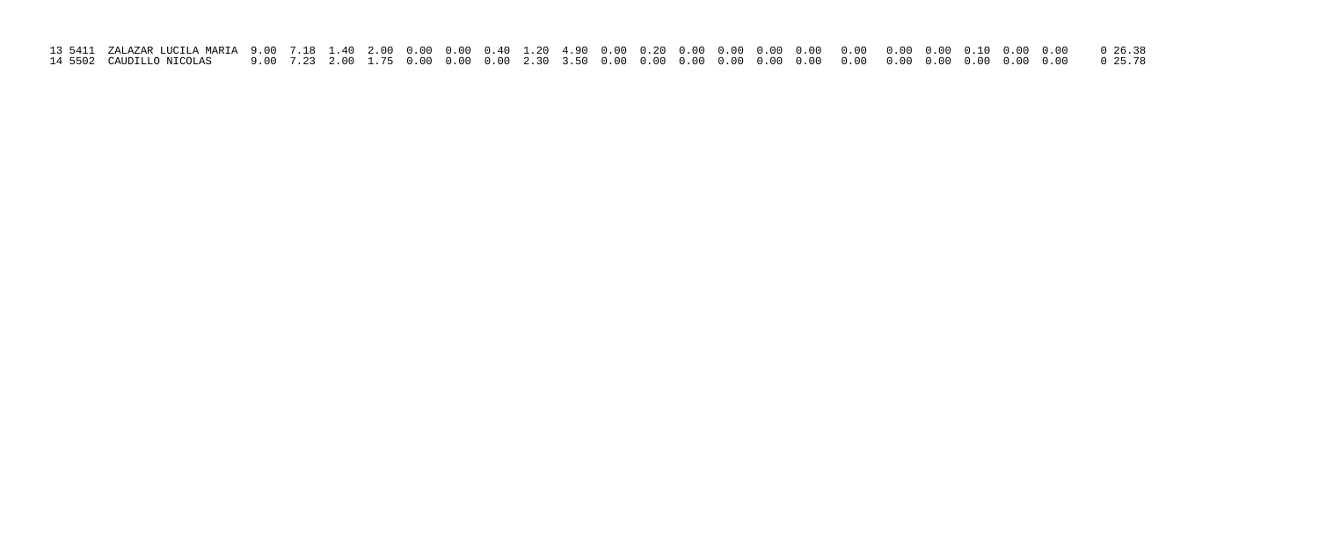| 14 5502 CAUDILLO NICOLAS      9.00  7.23  2.00  1.75  0.00  0.00  0.00  3.50  0.00  0.00  0.00  0.00  0.00  0.00  0.00  0.00  0.00  0.00  0.00  0.00  0.00  0.00  0.00   0.78 |  |  |  |  |  |  |  |  |  |  |  |  |
|-------------------------------------------------------------------------------------------------------------------------------------------------------------------------------|--|--|--|--|--|--|--|--|--|--|--|--|